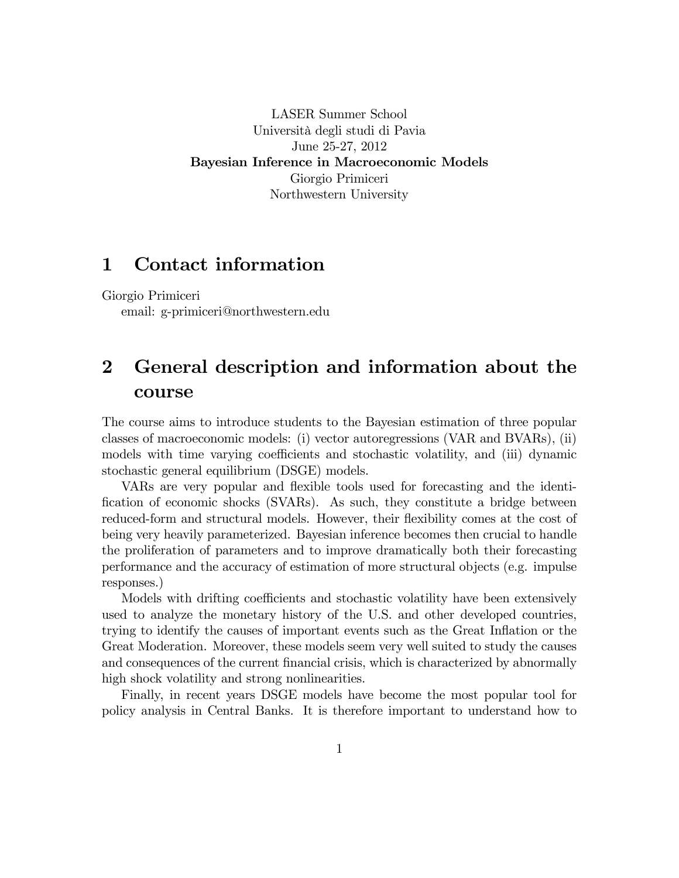LASER Summer School Università degli studi di Pavia June 25-27, 2012 Bayesian Inference in Macroeconomic Models Giorgio Primiceri Northwestern University

### 1 Contact information

Giorgio Primiceri

email: g-primiceri@northwestern.edu

## 2 General description and information about the course

The course aims to introduce students to the Bayesian estimation of three popular classes of macroeconomic models: (i) vector autoregressions (VAR and BVARs), (ii) models with time varying coefficients and stochastic volatility, and (iii) dynamic stochastic general equilibrium (DSGE) models.

VARs are very popular and flexible tools used for forecasting and the identification of economic shocks (SVARs). As such, they constitute a bridge between reduced-form and structural models. However, their flexibility comes at the cost of being very heavily parameterized. Bayesian inference becomes then crucial to handle the proliferation of parameters and to improve dramatically both their forecasting performance and the accuracy of estimation of more structural objects (e.g. impulse responses.)

Models with drifting coefficients and stochastic volatility have been extensively used to analyze the monetary history of the U.S. and other developed countries, trying to identify the causes of important events such as the Great Inflation or the Great Moderation. Moreover, these models seem very well suited to study the causes and consequences of the current financial crisis, which is characterized by abnormally high shock volatility and strong nonlinearities.

Finally, in recent years DSGE models have become the most popular tool for policy analysis in Central Banks. It is therefore important to understand how to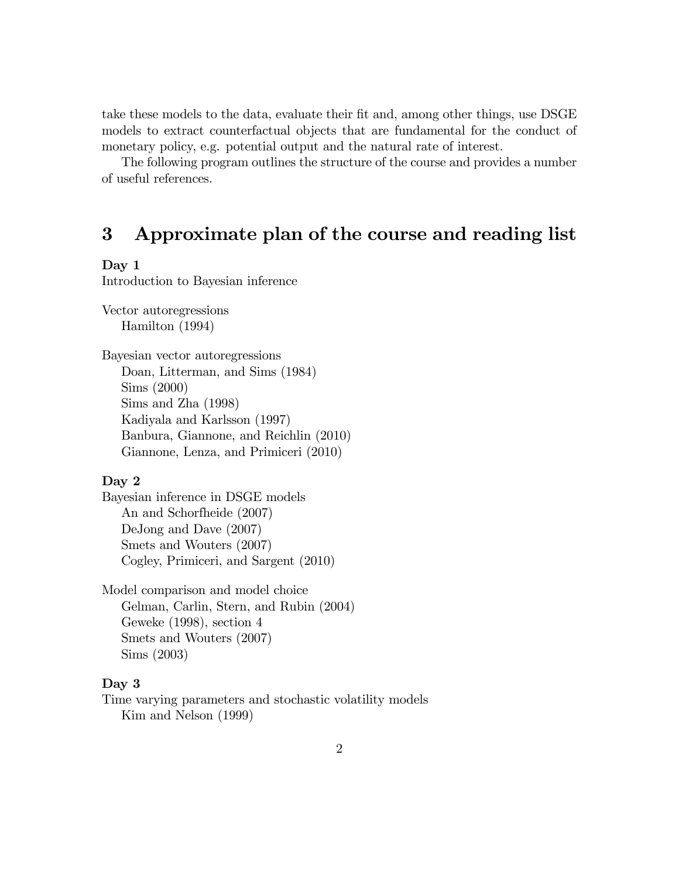take these models to the data, evaluate their fit and, among other things, use DSGE models to extract counterfactual objects that are fundamental for the conduct of monetary policy, e.g. potential output and the natural rate of interest.

The following program outlines the structure of the course and provides a number of useful references.

# 3 Approximate plan of the course and reading list

#### Day 1

Introduction to Bayesian inference

Vector autoregressions Hamilton (1994)

Bayesian vector autoregressions Doan, Litterman, and Sims (1984) Sims (2000) Sims and Zha (1998) Kadiyala and Karlsson (1997) Banbura, Giannone, and Reichlin (2010) Giannone, Lenza, and Primiceri (2010)

#### Day 2

Bayesian inference in DSGE models An and Schorfheide (2007) DeJong and Dave (2007) Smets and Wouters (2007) Cogley, Primiceri, and Sargent (2010)

Model comparison and model choice Gelman, Carlin, Stern, and Rubin (2004) Geweke (1998), section 4 Smets and Wouters (2007) Sims (2003)

### Day 3

Time varying parameters and stochastic volatility models Kim and Nelson (1999)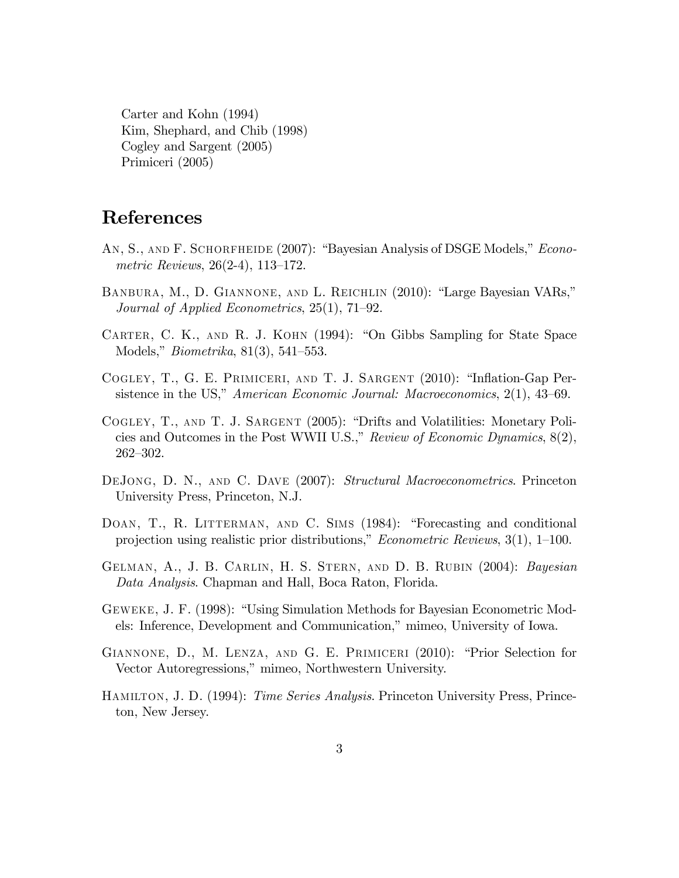Carter and Kohn (1994) Kim, Shephard, and Chib (1998) Cogley and Sargent (2005) Primiceri (2005)

# References

- AN, S., AND F. SCHORFHEIDE (2007): "Bayesian Analysis of DSGE Models," Econo*metric Reviews*,  $26(2-4)$ , 113-172.
- BANBURA, M., D. GIANNONE, AND L. REICHLIN (2010): "Large Bayesian VARs," Journal of Applied Econometrics,  $25(1)$ ,  $71-92$ .
- CARTER, C. K., AND R. J. KOHN (1994): "On Gibbs Sampling for State Space Models," *Biometrika*,  $81(3)$ ,  $541-553$ .
- COGLEY, T., G. E. PRIMICERI, AND T. J. SARGENT (2010): "Inflation-Gap Persistence in the US," American Economic Journal: Macroeconomics, 2(1), 43–69.
- COGLEY, T., AND T. J. SARGENT (2005): "Drifts and Volatilities: Monetary Policies and Outcomes in the Post WWII U.S.," Review of Economic Dynamics,  $8(2)$ ,  $262 - 302.$
- DEJONG, D. N., AND C. DAVE (2007): Structural Macroeconometrics. Princeton University Press, Princeton, N.J.
- DOAN, T., R. LITTERMAN, AND C. SIMS (1984): "Forecasting and conditional projection using realistic prior distributions," *Econometric Reviews*,  $3(1)$ ,  $1-100$ .
- GELMAN, A., J. B. CARLIN, H. S. STERN, AND D. B. RUBIN (2004): Bayesian Data Analysis. Chapman and Hall, Boca Raton, Florida.
- GEWEKE, J. F. (1998): "Using Simulation Methods for Bayesian Econometric Models: Inference, Development and Communication," mimeo, University of Iowa.
- GIANNONE, D., M. LENZA, AND G. E. PRIMICERI (2010): "Prior Selection for Vector Autoregressions," mimeo, Northwestern University.
- HAMILTON, J. D. (1994): Time Series Analysis. Princeton University Press, Princeton, New Jersey.